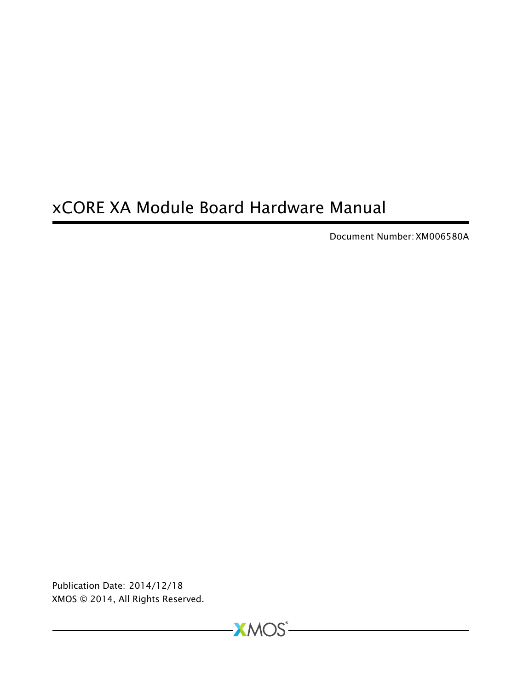# xCORE XA Module Board Hardware Manual

Document Number: XM006580A

Publication Date: 2014/12/18 XMOS © 2014, All Rights Reserved.

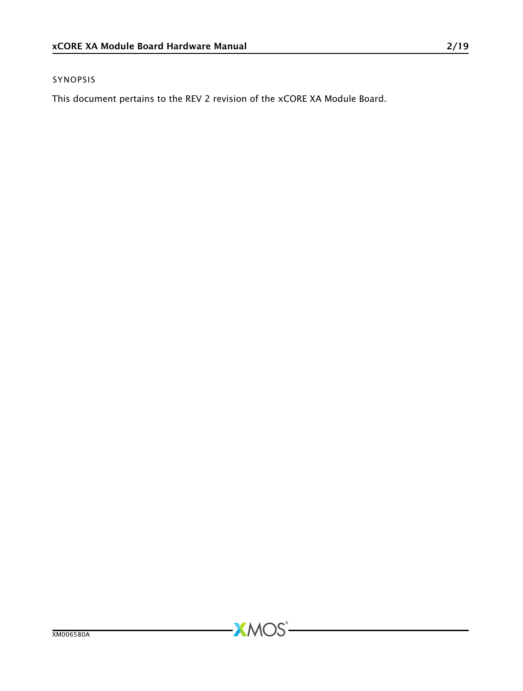#### SYNOPSIS

This document pertains to the REV 2 revision of the xCORE XA Module Board.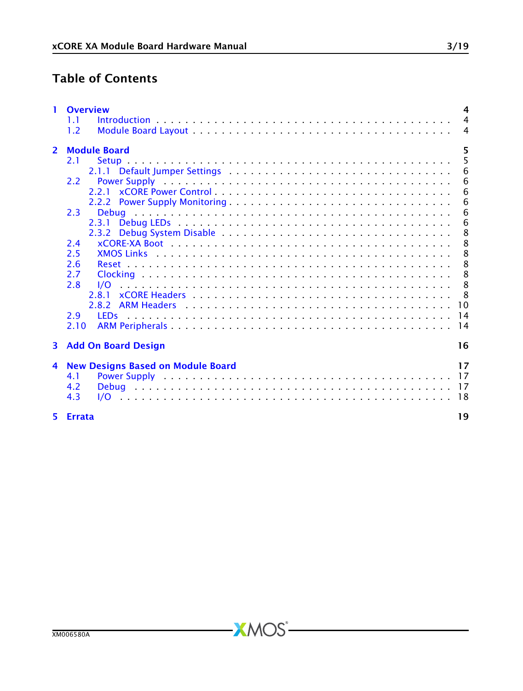## Table of Contents

|                | 1 Overview<br>1.1                              | $\overline{a}$<br>$\overline{4}$ |  |  |  |  |  |
|----------------|------------------------------------------------|----------------------------------|--|--|--|--|--|
|                | 1.2                                            | $\overline{4}$                   |  |  |  |  |  |
| $\overline{2}$ | 5<br><b>Module Board</b>                       |                                  |  |  |  |  |  |
|                | 2.1                                            | 5                                |  |  |  |  |  |
|                |                                                | 6                                |  |  |  |  |  |
|                | 2.2                                            | 6                                |  |  |  |  |  |
|                |                                                | 6                                |  |  |  |  |  |
|                |                                                | - 6                              |  |  |  |  |  |
|                | 2.3                                            | - 6                              |  |  |  |  |  |
|                |                                                | 6                                |  |  |  |  |  |
|                |                                                | -8                               |  |  |  |  |  |
|                | 2.4                                            | 8                                |  |  |  |  |  |
|                | 2.5                                            | - 8                              |  |  |  |  |  |
|                | 2.6                                            | - 8                              |  |  |  |  |  |
|                | 2.7                                            | - 8                              |  |  |  |  |  |
|                | 2.8<br>1/O                                     | 8                                |  |  |  |  |  |
|                |                                                |                                  |  |  |  |  |  |
|                |                                                |                                  |  |  |  |  |  |
|                | 2.9                                            |                                  |  |  |  |  |  |
|                | 2.10                                           |                                  |  |  |  |  |  |
|                | 3 Add On Board Design                          | 16                               |  |  |  |  |  |
| 4              | 17<br><b>New Designs Based on Module Board</b> |                                  |  |  |  |  |  |
|                | 4.1                                            |                                  |  |  |  |  |  |
|                | 4.2                                            |                                  |  |  |  |  |  |
|                | 4.3                                            |                                  |  |  |  |  |  |
|                | 5 Errata                                       | 19                               |  |  |  |  |  |

 $-XMOS$ -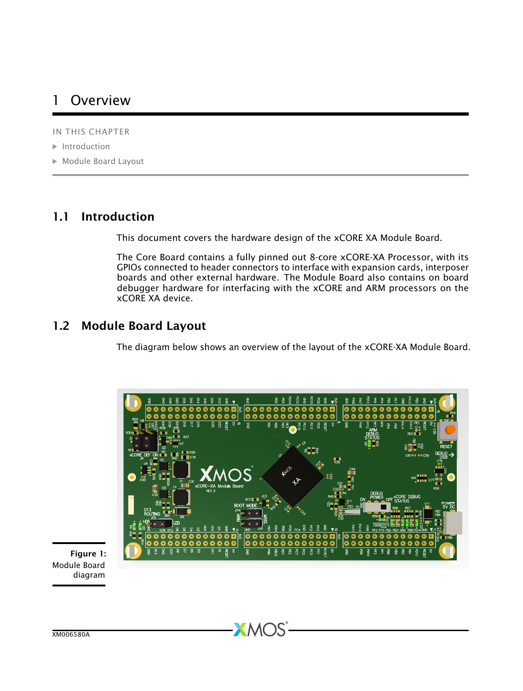## <span id="page-3-0"></span>1 Overview

IN THIS CHAPTER

- · [Introduction](#page-3-1)
- · [Module Board Layout](#page-3-2)

#### 1.1 Introduction

<span id="page-3-1"></span>This document covers the hardware design of the xCORE XA Module Board.

The Core Board contains a fully pinned out 8-core xCORE-XA Processor, with its GPIOs connected to header connectors to interface with expansion cards, interposer boards and other external hardware. The Module Board also contains on board debugger hardware for interfacing with the xCORE and ARM processors on the xCORE XA device.

#### 1.2 Module Board Layout

<span id="page-3-2"></span>The diagram below shows an overview of the layout of the xCORE-XA Module Board.



**XMOS** 

Figure 1: Module Board diagram

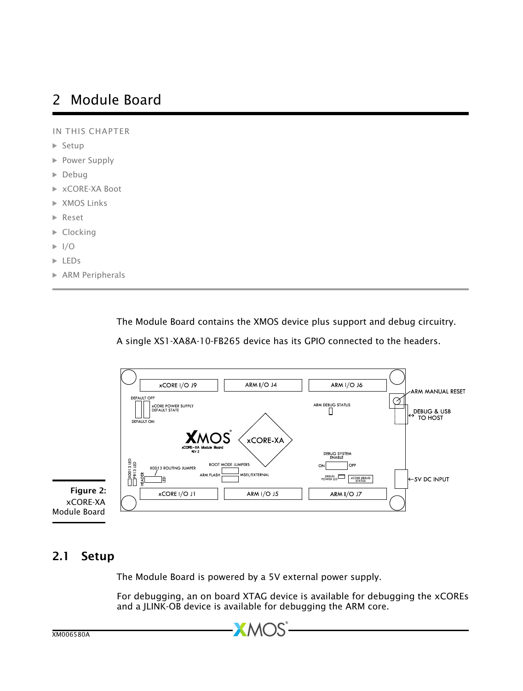## <span id="page-4-0"></span>2 Module Board

IN THIS CHAPTER

- · [Setup](#page-4-1)
- **[Power Supply](#page-5-1)**
- · [Debug](#page-5-4)
- · [xCORE-XA Boot](#page-7-1)
- · [XMOS Links](#page-7-2)
- · [Reset](#page-7-3)
- $\blacktriangleright$  [Clocking](#page-7-4)
- $\blacktriangleright$  [I/O](#page-7-5)
- · [LEDs](#page-13-0)
- · [ARM Peripherals](#page-13-1)

The Module Board contains the XMOS device plus support and debug circuitry.

A single XS1-XA8A-10-FB265 device has its GPIO connected to the headers.



Module Board

### 2.1 Setup

<span id="page-4-1"></span>The Module Board is powered by a 5V external power supply.

 $X$  MC

For debugging, an on board XTAG device is available for debugging the xCOREs and a JLINK-OB device is available for debugging the ARM core.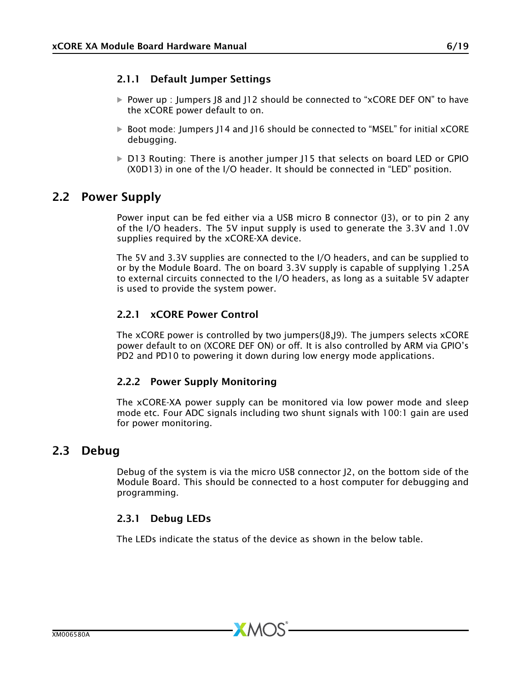#### <span id="page-5-0"></span>2.1.1 Default Jumper Settings

- · Power up : Jumpers J8 and J12 should be connected to "xCORE DEF ON" to have the xCORE power default to on.
- · Boot mode: Jumpers J14 and J16 should be connected to "MSEL" for initial xCORE debugging.
- <span id="page-5-1"></span>· D13 Routing: There is another jumper J15 that selects on board LED or GPIO (X0D13) in one of the I/O header. It should be connected in "LED" position.

#### 2.2 Power Supply

Power input can be fed either via a USB micro B connector (J3), or to pin 2 any of the I/O headers. The 5V input supply is used to generate the 3.3V and 1.0V supplies required by the xCORE-XA device.

The 5V and 3.3V supplies are connected to the I/O headers, and can be supplied to or by the Module Board. The on board 3.3V supply is capable of supplying 1.25A to external circuits connected to the I/O headers, as long as a suitable 5V adapter is used to provide the system power.

#### <span id="page-5-2"></span>2.2.1 xCORE Power Control

The xCORE power is controlled by two jumpers(J8,J9). The jumpers selects xCORE power default to on (XCORE DEF ON) or off. It is also controlled by ARM via GPIO's PD2 and PD10 to powering it down during low energy mode applications.

#### <span id="page-5-3"></span>2.2.2 Power Supply Monitoring

The xCORE-XA power supply can be monitored via low power mode and sleep mode etc. Four ADC signals including two shunt signals with 100:1 gain are used for power monitoring.

#### 2.3 Debug

<span id="page-5-4"></span>Debug of the system is via the micro USB connector J2, on the bottom side of the Module Board. This should be connected to a host computer for debugging and programming.

#### <span id="page-5-5"></span>2.3.1 Debug LEDs

The LEDs indicate the status of the device as shown in the below table.

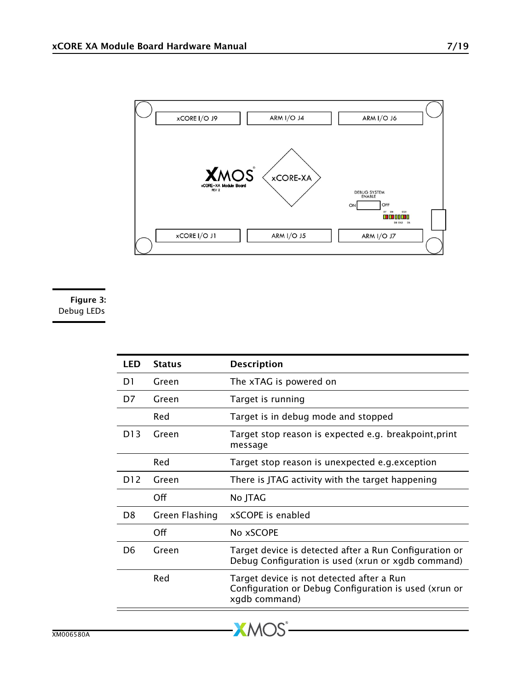

Figure 3: Debug LEDs

| LED | <b>Status</b>  | <b>Description</b>                                                                                                  |
|-----|----------------|---------------------------------------------------------------------------------------------------------------------|
| D1  | Green          | The xTAG is powered on                                                                                              |
| D7  | Green          | Target is running                                                                                                   |
|     | Red            | Target is in debug mode and stopped                                                                                 |
| D13 | Green          | Target stop reason is expected e.g. breakpoint, print<br>message                                                    |
|     | Red            | Target stop reason is unexpected e.g. exception                                                                     |
| D12 | Green          | There is JTAG activity with the target happening                                                                    |
|     | Off            | No JTAG                                                                                                             |
| D8  | Green Flashing | xSCOPE is enabled                                                                                                   |
|     | Off            | No xSCOPE                                                                                                           |
| D6  | Green          | Target device is detected after a Run Configuration or<br>Debug Configuration is used (xrun or xgdb command)        |
|     | Red            | Target device is not detected after a Run<br>Configuration or Debug Configuration is used (xrun or<br>xgdb command) |
|     |                |                                                                                                                     |

**XMOS** 

XM006580A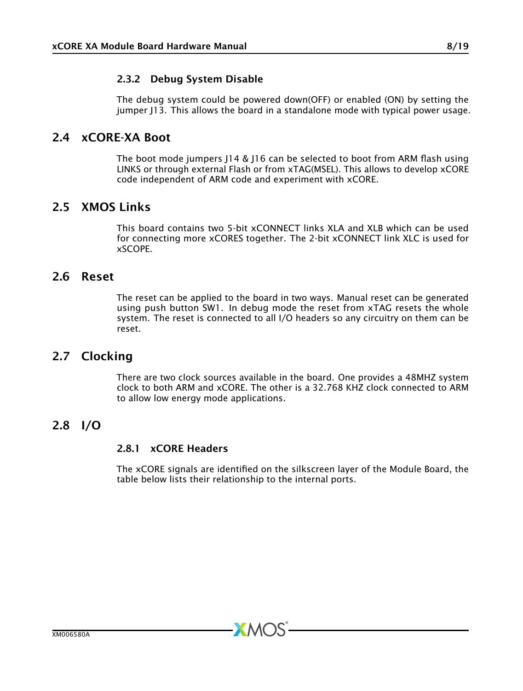#### <span id="page-7-0"></span>2.3.2 Debug System Disable

<span id="page-7-1"></span>The debug system could be powered down(OFF) or enabled (ON) by setting the jumper J13. This allows the board in a standalone mode with typical power usage.

#### 2.4 xCORE-XA Boot

The boot mode jumpers J14 & J16 can be selected to boot from ARM flash using LINKS or through external Flash or from xTAG(MSEL). This allows to develop xCORE code independent of ARM code and experiment with xCORE.

#### 2.5 XMOS Links

<span id="page-7-3"></span><span id="page-7-2"></span>This board contains two 5-bit xCONNECT links XLA and XLB which can be used for connecting more xCORES together. The 2-bit xCONNECT link XLC is used for xSCOPE.

#### 2.6 Reset

The reset can be applied to the board in two ways. Manual reset can be generated using push button SW1. In debug mode the reset from xTAG resets the whole system. The reset is connected to all I/O headers so any circuitry on them can be reset.

#### 2.7 Clocking

<span id="page-7-5"></span><span id="page-7-4"></span>There are two clock sources available in the board. One provides a 48MHZ system clock to both ARM and xCORE. The other is a 32.768 KHZ clock connected to ARM to allow low energy mode applications.

#### 2.8 I/O

#### <span id="page-7-6"></span>2.8.1 xCORE Headers

The xCORE signals are identified on the silkscreen layer of the Module Board, the table below lists their relationship to the internal ports.

**XMOS**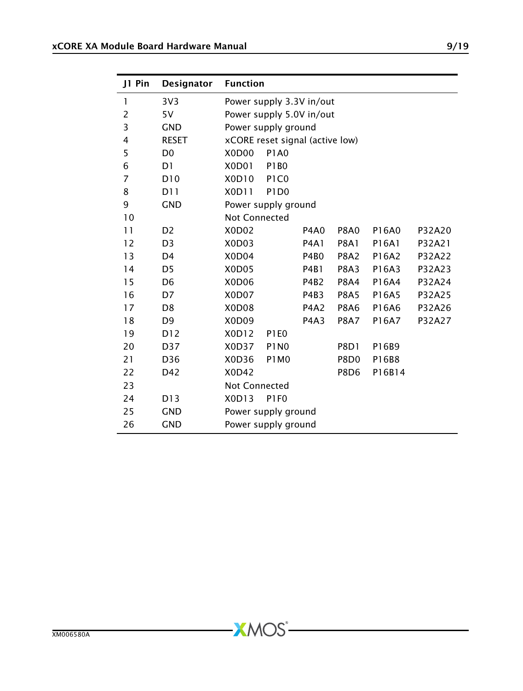| J1 Pin         | Designator      | <b>Function</b>                |                                 |                               |                  |        |        |
|----------------|-----------------|--------------------------------|---------------------------------|-------------------------------|------------------|--------|--------|
| 1              | 3V <sub>3</sub> | Power supply 3.3V in/out       |                                 |                               |                  |        |        |
| $\overline{2}$ | 5V              |                                | Power supply 5.0V in/out        |                               |                  |        |        |
| 3              | <b>GND</b>      |                                | Power supply ground             |                               |                  |        |        |
| 4              | <b>RESET</b>    |                                | xCORE reset signal (active low) |                               |                  |        |        |
| 5              | D <sub>0</sub>  | X <sub>0</sub> D <sub>00</sub> | <b>P1A0</b>                     |                               |                  |        |        |
| 6              | D1              | X0D01                          | <b>P1B0</b>                     |                               |                  |        |        |
| 7              | D <sub>10</sub> | X0D10                          | P <sub>1</sub> C <sub>0</sub>   |                               |                  |        |        |
| 8              | D11             | X0D11                          | P <sub>1</sub> D <sub>0</sub>   |                               |                  |        |        |
| 9              | <b>GND</b>      |                                | Power supply ground             |                               |                  |        |        |
| 10             |                 | Not Connected                  |                                 |                               |                  |        |        |
| 11             | D <sub>2</sub>  | X0D02                          |                                 | <b>P4A0</b>                   | <b>P8A0</b>      | P16A0  | P32A20 |
| 12             | D <sub>3</sub>  | X0D03                          |                                 | <b>P4A1</b>                   | <b>P8A1</b>      | P16A1  | P32A21 |
| 13             | D <sub>4</sub>  | X0D04                          |                                 | <b>P4B0</b>                   | <b>P8A2</b>      | P16A2  | P32A22 |
| 14             | D <sub>5</sub>  | X0D05                          |                                 | <b>P4B1</b>                   | <b>P8A3</b>      | P16A3  | P32A23 |
| 15             | D <sub>6</sub>  | X <sub>0</sub> D <sub>06</sub> |                                 | P4B2                          | <b>P8A4</b>      | P16A4  | P32A24 |
| 16             | D7              | X0D07                          |                                 | P4B3                          | <b>P8A5</b>      | P16A5  | P32A25 |
| 17             | D <sub>8</sub>  | X0D08                          |                                 | <b>P4A2</b>                   | <b>P8A6</b>      | P16A6  | P32A26 |
| 18             | D <sub>9</sub>  | X0D09                          |                                 | P <sub>4</sub> A <sub>3</sub> | <b>P8A7</b>      | P16A7  | P32A27 |
| 19             | D12             | X0D12                          | <b>P1E0</b>                     |                               |                  |        |        |
| 20             | D37             | X0D37                          | <b>P1N0</b>                     |                               | <b>P8D1</b>      | P16B9  |        |
| 21             | D36             | X0D36                          | P1M <sub>0</sub>                |                               | P8D <sub>0</sub> | P16B8  |        |
| 22             | D42             | X0D42                          |                                 |                               | <b>P8D6</b>      | P16B14 |        |
| 23             |                 | Not Connected                  |                                 |                               |                  |        |        |
| 24             | D13             | X0D13<br>P1FO                  |                                 |                               |                  |        |        |
| 25             | <b>GND</b>      | Power supply ground            |                                 |                               |                  |        |        |
| 26             | <b>GND</b>      | Power supply ground            |                                 |                               |                  |        |        |

 $-XMOS$ -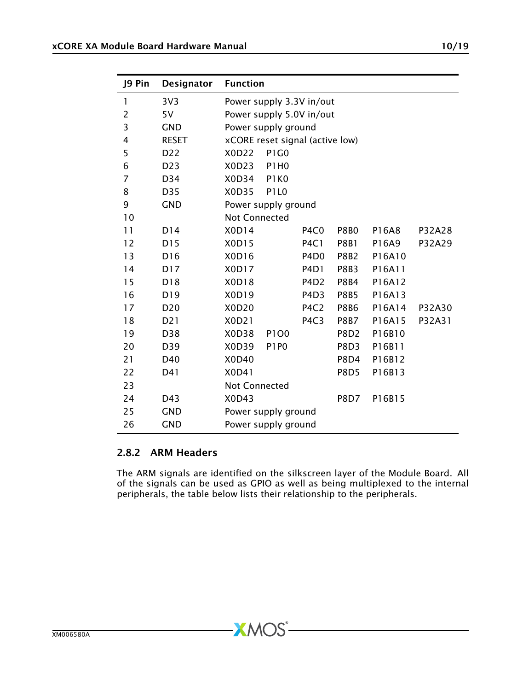| J9 Pin | Designator       | <b>Function</b>                 |                               |                               |             |        |        |
|--------|------------------|---------------------------------|-------------------------------|-------------------------------|-------------|--------|--------|
| 1      | 3V <sub>3</sub>  | Power supply 3.3V in/out        |                               |                               |             |        |        |
| 2      | 5V               | Power supply 5.0V in/out        |                               |                               |             |        |        |
| 3      | <b>GND</b>       | Power supply ground             |                               |                               |             |        |        |
| 4      | <b>RESET</b>     | xCORE reset signal (active low) |                               |                               |             |        |        |
| 5      | D <sub>22</sub>  | X0D22                           | <b>P1G0</b>                   |                               |             |        |        |
| 6      | D <sub>2</sub> 3 | X0D23                           | <b>P1H0</b>                   |                               |             |        |        |
| 7      | D34              | X0D34                           | P <sub>1</sub> K <sub>0</sub> |                               |             |        |        |
| 8      | D35              | X0D35                           | P <sub>1</sub> L <sub>0</sub> |                               |             |        |        |
| 9      | <b>GND</b>       | Power supply ground             |                               |                               |             |        |        |
| 10     |                  | <b>Not Connected</b>            |                               |                               |             |        |        |
| 11     | D14              | X0D14                           |                               | P <sub>4</sub> C <sub>0</sub> | <b>P8B0</b> | P16A8  | P32A28 |
| 12     | D15              | X0D15                           |                               | <b>P4C1</b>                   | <b>P8B1</b> | P16A9  | P32A29 |
| 13     | D <sub>16</sub>  | X0D16                           |                               | P <sub>4</sub> D <sub>0</sub> | <b>P8B2</b> | P16A10 |        |
| 14     | D17              | X0D17                           |                               | P <sub>4</sub> D <sub>1</sub> | <b>P8B3</b> | P16A11 |        |
| 15     | D18              | X0D18                           |                               | P <sub>4</sub> D <sub>2</sub> | <b>P8B4</b> | P16A12 |        |
| 16     | D19              | X0D19                           |                               | P <sub>4</sub> D <sub>3</sub> | <b>P8B5</b> | P16A13 |        |
| 17     | D <sub>20</sub>  | X0D20                           |                               | P <sub>4</sub> C <sub>2</sub> | <b>P8B6</b> | P16A14 | P32A30 |
| 18     | D <sub>2</sub> 1 | X0D21                           |                               | P <sub>4</sub> C <sub>3</sub> | <b>P8B7</b> | P16A15 | P32A31 |
| 19     | D38              | X <sub>0</sub> D <sub>38</sub>  | P1O0                          |                               | <b>P8D2</b> | P16B10 |        |
| 20     | D39              | X0D39                           | P <sub>1</sub> P <sub>0</sub> |                               | P8D3        | P16B11 |        |
| 21     | D40              | X0D40                           |                               |                               | P8D4        | P16B12 |        |
| 22     | D41              | X0D41                           |                               |                               | <b>P8D5</b> | P16B13 |        |
| 23     |                  | Not Connected                   |                               |                               |             |        |        |
| 24     | D43              | X0D43<br><b>P8D7</b><br>P16B15  |                               |                               |             |        |        |
| 25     | <b>GND</b>       | Power supply ground             |                               |                               |             |        |        |
| 26     | <b>GND</b>       | Power supply ground             |                               |                               |             |        |        |

#### <span id="page-9-0"></span>2.8.2 ARM Headers

The ARM signals are identified on the silkscreen layer of the Module Board. All of the signals can be used as GPIO as well as being multiplexed to the internal peripherals, the table below lists their relationship to the peripherals.

 $-MOS$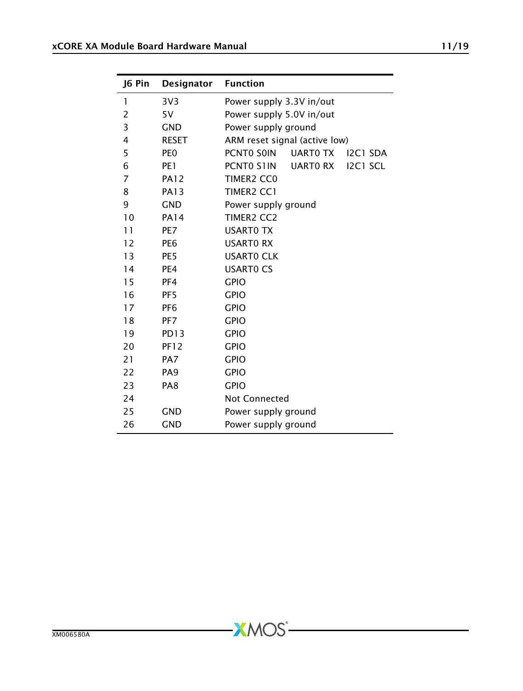| J6 Pin       | Designator       | <b>Function</b>                           |  |  |  |  |
|--------------|------------------|-------------------------------------------|--|--|--|--|
| $\mathbf{1}$ | 3V <sub>3</sub>  | Power supply 3.3V in/out                  |  |  |  |  |
| 2            | 5V               | Power supply 5.0V in/out                  |  |  |  |  |
| 3            | <b>GND</b>       | Power supply ground                       |  |  |  |  |
| 4            | <b>RESET</b>     | ARM reset signal (active low)             |  |  |  |  |
| 5            | PE <sub>0</sub>  | PCNTO SOIN<br><b>UARTO TX</b><br>I2C1 SDA |  |  |  |  |
| 6            | PE <sub>1</sub>  | UARTO RX<br>I2C1 SCL<br>PCNTO S1IN        |  |  |  |  |
| 7            | <b>PA12</b>      | TIMER <sub>2</sub> CC <sub>0</sub>        |  |  |  |  |
| 8            | <b>PA13</b>      | <b>TIMER2 CC1</b>                         |  |  |  |  |
| 9            | <b>GND</b>       | Power supply ground                       |  |  |  |  |
| 10           | <b>PA14</b>      | <b>TIMER2 CC2</b>                         |  |  |  |  |
| 11           | PE7              | <b>USARTO TX</b>                          |  |  |  |  |
| 12           | PE6              | <b>USARTO RX</b>                          |  |  |  |  |
| 13           | PE <sub>5</sub>  | <b>USARTO CLK</b>                         |  |  |  |  |
| 14           | PE4              | <b>USARTO CS</b>                          |  |  |  |  |
| 15           | PF4              | <b>GPIO</b>                               |  |  |  |  |
| 16           | PF <sub>5</sub>  | <b>GPIO</b>                               |  |  |  |  |
| 17           | PF <sub>6</sub>  | <b>GPIO</b>                               |  |  |  |  |
| 18           | PF <sub>7</sub>  | <b>GPIO</b>                               |  |  |  |  |
| 19           | PD <sub>13</sub> | <b>GPIO</b>                               |  |  |  |  |
| 20           | <b>PF12</b>      | <b>GPIO</b>                               |  |  |  |  |
| 21           | PA7              | <b>GPIO</b>                               |  |  |  |  |
| 22           | PA <sub>9</sub>  | <b>GPIO</b>                               |  |  |  |  |
| 23           | PA <sub>8</sub>  | <b>GPIO</b>                               |  |  |  |  |
| 24           |                  | <b>Not Connected</b>                      |  |  |  |  |
| 25           | <b>GND</b>       | Power supply ground                       |  |  |  |  |
| 26           | <b>GND</b>       | Power supply ground                       |  |  |  |  |

-XMOS<sup>®</sup>

 $\overline{\phantom{0}}$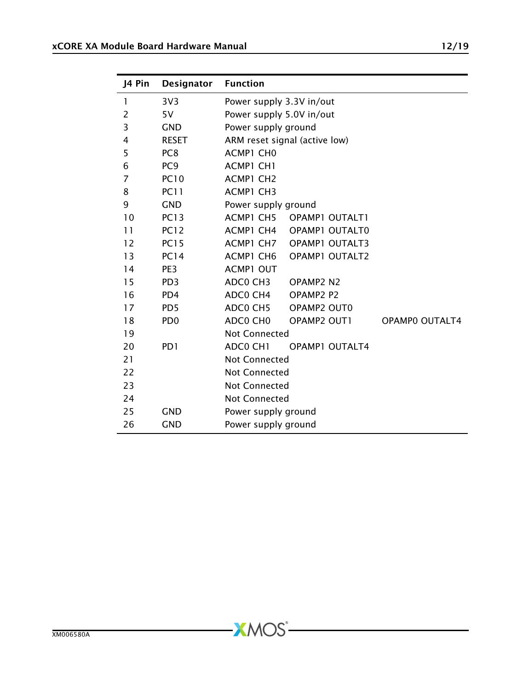| J4 Pin         | <b>Designator</b>           | <b>Function</b>               |                                   |                       |  |  |
|----------------|-----------------------------|-------------------------------|-----------------------------------|-----------------------|--|--|
| 1              | 3V <sub>3</sub>             | Power supply 3.3V in/out      |                                   |                       |  |  |
| 2              | 5V                          | Power supply 5.0V in/out      |                                   |                       |  |  |
| 3              | <b>GND</b>                  | Power supply ground           |                                   |                       |  |  |
| 4              | <b>RESET</b>                | ARM reset signal (active low) |                                   |                       |  |  |
| 5              | PC <sub>8</sub>             | ACMP1 CHO                     |                                   |                       |  |  |
| 6              | PC <sub>9</sub>             | ACMP1 CH1                     |                                   |                       |  |  |
| $\overline{7}$ | <b>PC10</b>                 | ACMP1 CH2                     |                                   |                       |  |  |
| 8              | <b>PC11</b>                 | ACMP1 CH3                     |                                   |                       |  |  |
| 9              | <b>GND</b>                  | Power supply ground           |                                   |                       |  |  |
| 10             | <b>PC13</b>                 |                               | ACMP1 CH5 OPAMP1 OUTALT1          |                       |  |  |
| 11             | <b>PC12</b>                 | ACMP1 CH4                     | <b>OPAMP1 OUTALT0</b>             |                       |  |  |
| 12             | <b>PC15</b>                 | ACMP1 CH7                     | <b>OPAMP1 OUTALT3</b>             |                       |  |  |
| 13             | <b>PC14</b>                 | ACMP1 CH6                     | OPAMP1 OUTALT2                    |                       |  |  |
| 14             | PE <sub>3</sub>             | <b>ACMP1 OUT</b>              |                                   |                       |  |  |
| 15             | PD <sub>3</sub>             | ADCO CH3                      | OPAMP2 N2                         |                       |  |  |
| 16             | PD <sub>4</sub>             | ADC0 CH4                      | OPAMP <sub>2</sub> P <sub>2</sub> |                       |  |  |
| 17             | PD <sub>5</sub>             | ADC0 CH5                      | OPAMP2 OUT0                       |                       |  |  |
| 18             | P <sub>D</sub> <sub>0</sub> | ADC0 CH0                      | OPAMP2 OUT1                       | <b>OPAMPO OUTALT4</b> |  |  |
| 19             |                             | Not Connected                 |                                   |                       |  |  |
| 20             | PD <sub>1</sub>             | ADCO CH1                      | <b>OPAMP1 OUTALT4</b>             |                       |  |  |
| 21             |                             | <b>Not Connected</b>          |                                   |                       |  |  |
| 22             |                             | <b>Not Connected</b>          |                                   |                       |  |  |
| 23             |                             | <b>Not Connected</b>          |                                   |                       |  |  |
| 24             |                             | <b>Not Connected</b>          |                                   |                       |  |  |
| 25             | <b>GND</b>                  | Power supply ground           |                                   |                       |  |  |
| 26             | <b>GND</b>                  | Power supply ground           |                                   |                       |  |  |

 $-XMOS -$ 

 $\overline{\phantom{0}}$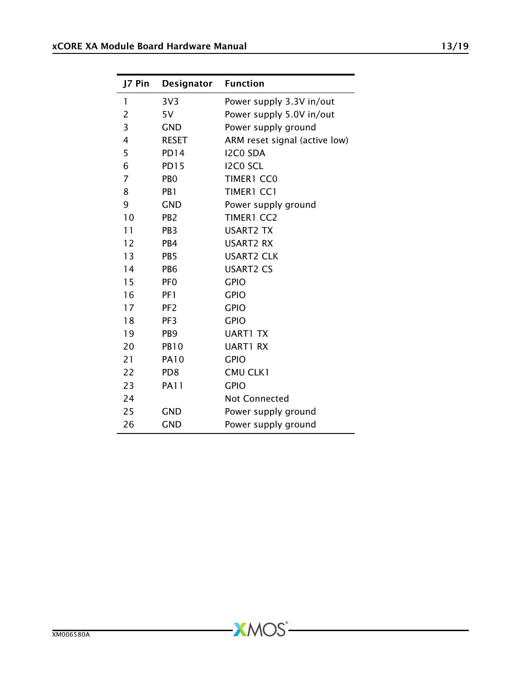| J7 Pin | Designator       | <b>Function</b>               |
|--------|------------------|-------------------------------|
| 1      | 3V <sub>3</sub>  | Power supply 3.3V in/out      |
| 2      | 5V               | Power supply 5.0V in/out      |
| 3      | <b>GND</b>       | Power supply ground           |
| 4      | RESET            | ARM reset signal (active low) |
| 5      | PD <sub>14</sub> | <b>I2CO SDA</b>               |
| 6      | <b>PD15</b>      | I2C0 SCL                      |
| 7      | P <sub>B</sub> O | TIMER1 CC0                    |
| 8      | PB <sub>1</sub>  | TIMER1 CC1                    |
| 9      | <b>GND</b>       | Power supply ground           |
| 10     | PB <sub>2</sub>  | <b>TIMER1 CC2</b>             |
| 11     | PB <sub>3</sub>  | <b>USART2 TX</b>              |
| 12     | PB4              | <b>USART2 RX</b>              |
| 13     | PB <sub>5</sub>  | <b>USART2 CLK</b>             |
| 14     | PB <sub>6</sub>  | <b>USART2 CS</b>              |
| 15     | PF <sub>0</sub>  | <b>GPIO</b>                   |
| 16     | PF1              | <b>GPIO</b>                   |
| 17     | PF <sub>2</sub>  | <b>GPIO</b>                   |
| 18     | PF <sub>3</sub>  | <b>GPIO</b>                   |
| 19     | PB <sub>9</sub>  | <b>UART1 TX</b>               |
| 20     | <b>PB10</b>      | <b>UART1 RX</b>               |
| 21     | <b>PA10</b>      | <b>GPIO</b>                   |
| 22     | PD <sub>8</sub>  | CMU CLK1                      |
| 23     | <b>PA11</b>      | <b>GPIO</b>                   |
| 24     |                  | Not Connected                 |
| 25     | <b>GND</b>       | Power supply ground           |
| 26     | <b>GND</b>       | Power supply ground           |

-XMOS<sup>®</sup>

 $\overline{\phantom{0}}$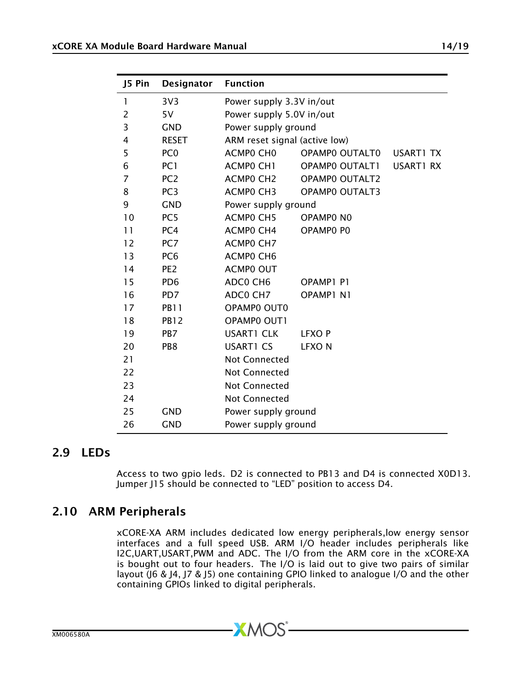| J5 Pin | <b>Designator</b> | <b>Function</b>               |                       |                  |  |
|--------|-------------------|-------------------------------|-----------------------|------------------|--|
| 1      | 3V <sub>3</sub>   | Power supply 3.3V in/out      |                       |                  |  |
| 2      | 5V                | Power supply 5.0V in/out      |                       |                  |  |
| 3      | <b>GND</b>        | Power supply ground           |                       |                  |  |
| 4      | <b>RESET</b>      | ARM reset signal (active low) |                       |                  |  |
| 5      | PC <sub>0</sub>   | ACMPO CHO                     | OPAMPO OUTALTO        | <b>USART1 TX</b> |  |
| 6      | PC <sub>1</sub>   | ACMPO CH1                     | OPAMPO OUTALT1        | USART1 RX        |  |
| 7      | PC <sub>2</sub>   | ACMP0 CH2                     | <b>OPAMPO OUTALT2</b> |                  |  |
| 8      | PC <sub>3</sub>   | ACMPO CH3                     | <b>OPAMPO OUTALT3</b> |                  |  |
| 9      | <b>GND</b>        | Power supply ground           |                       |                  |  |
| 10     | PC <sub>5</sub>   | ACMPO CH5                     | OPAMPO NO             |                  |  |
| 11     | PC <sub>4</sub>   | ACMP0 CH4                     | OPAMP0 P0             |                  |  |
| 12     | PC <sub>7</sub>   | ACMPO CH7                     |                       |                  |  |
| 13     | PC <sub>6</sub>   | ACMPO CH6                     |                       |                  |  |
| 14     | PE <sub>2</sub>   | <b>ACMPO OUT</b>              |                       |                  |  |
| 15     | PD <sub>6</sub>   | ADCO CH6                      | OPAMP1 P1             |                  |  |
| 16     | PD <sub>7</sub>   | ADCO CH7                      | OPAMP1 N1             |                  |  |
| 17     | <b>PB11</b>       | OPAMP0 OUT0                   |                       |                  |  |
| 18     | <b>PB12</b>       | OPAMP0 OUT1                   |                       |                  |  |
| 19     | PB <sub>7</sub>   | <b>USART1 CLK</b>             | <b>LFXOP</b>          |                  |  |
| 20     | PB <sub>8</sub>   | <b>USART1 CS</b>              | <b>LFXON</b>          |                  |  |
| 21     |                   | Not Connected                 |                       |                  |  |
| 22     |                   | <b>Not Connected</b>          |                       |                  |  |
| 23     |                   | Not Connected                 |                       |                  |  |
| 24     |                   | Not Connected                 |                       |                  |  |
| 25     | <b>GND</b>        | Power supply ground           |                       |                  |  |
| 26     | <b>GND</b>        | Power supply ground           |                       |                  |  |

#### 2.9 LEDs

<span id="page-13-1"></span><span id="page-13-0"></span>Access to two gpio leds. D2 is connected to PB13 and D4 is connected X0D13. Jumper J15 should be connected to "LED" position to access D4.

#### 2.10 ARM Peripherals

xCORE-XA ARM includes dedicated low energy peripherals,low energy sensor interfaces and a full speed USB. ARM I/O header includes peripherals like I2C,UART,USART,PWM and ADC. The I/O from the ARM core in the xCORE-XA is bought out to four headers. The I/O is laid out to give two pairs of similar layout (J6 & J4, J7 & J5) one containing GPIO linked to analogue I/O and the other containing GPIOs linked to digital peripherals.

 $-MOS$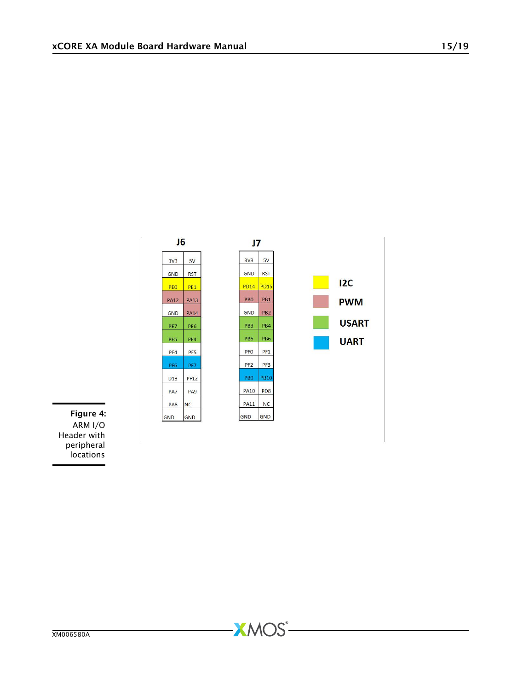

**XMOS** 

Figure 4: ARM I/O Header with peripheral locations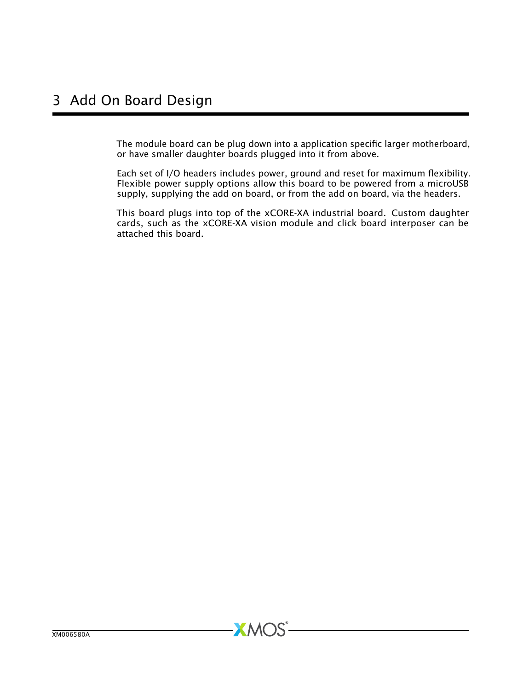<span id="page-15-0"></span>The module board can be plug down into a application specific larger motherboard, or have smaller daughter boards plugged into it from above.

Each set of I/O headers includes power, ground and reset for maximum flexibility. Flexible power supply options allow this board to be powered from a microUSB supply, supplying the add on board, or from the add on board, via the headers.

This board plugs into top of the xCORE-XA industrial board. Custom daughter cards, such as the xCORE-XA vision module and click board interposer can be attached this board.

**XMOS**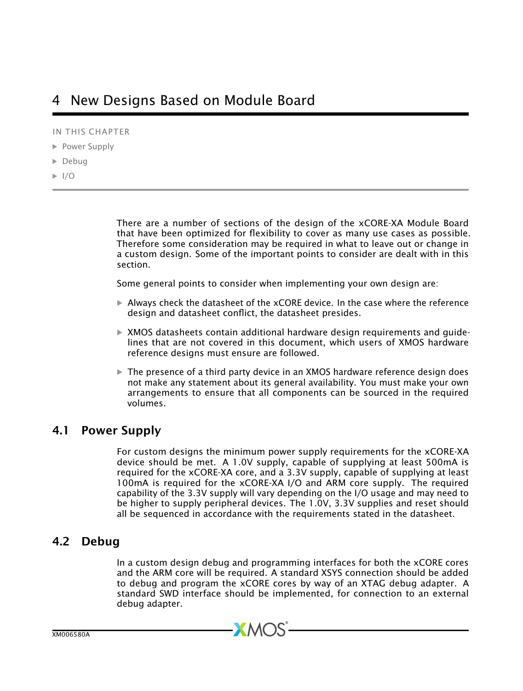<span id="page-16-0"></span>IN THIS CHAPTER

- **[Power Supply](#page-16-1)**
- · [Debug](#page-16-2)
- $\blacktriangleright$   $1/O$

There are a number of sections of the design of the xCORE-XA Module Board that have been optimized for flexibility to cover as many use cases as possible. Therefore some consideration may be required in what to leave out or change in a custom design. Some of the important points to consider are dealt with in this section.

Some general points to consider when implementing your own design are:

- $\triangleright$  Always check the datasheet of the xCORE device. In the case where the reference design and datasheet conflict, the datasheet presides.
- $\triangleright$  XMOS datasheets contain additional hardware design requirements and quidelines that are not covered in this document, which users of XMOS hardware reference designs must ensure are followed.
- $\triangleright$  The presence of a third party device in an XMOS hardware reference design does not make any statement about its general availability. You must make your own arrangements to ensure that all components can be sourced in the required volumes.

#### 4.1 Power Supply

<span id="page-16-1"></span>For custom designs the minimum power supply requirements for the xCORE-XA device should be met. A 1.0V supply, capable of supplying at least 500mA is required for the xCORE-XA core, and a 3.3V supply, capable of supplying at least 100mA is required for the xCORE-XA I/O and ARM core supply. The required capability of the 3.3V supply will vary depending on the I/O usage and may need to be higher to supply peripheral devices. The 1.0V, 3.3V supplies and reset should all be sequenced in accordance with the requirements stated in the datasheet.

#### 4.2 Debug

<span id="page-16-2"></span>In a custom design debug and programming interfaces for both the xCORE cores and the ARM core will be required. A standard XSYS connection should be added to debug and program the xCORE cores by way of an XTAG debug adapter. A standard SWD interface should be implemented, for connection to an external debug adapter.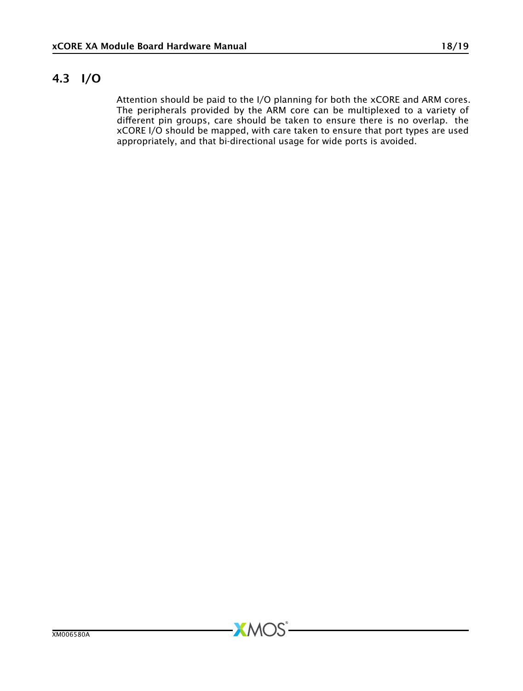#### 4.3 I/O

<span id="page-17-0"></span>Attention should be paid to the I/O planning for both the xCORE and ARM cores. The peripherals provided by the ARM core can be multiplexed to a variety of different pin groups, care should be taken to ensure there is no overlap. the xCORE I/O should be mapped, with care taken to ensure that port types are used appropriately, and that bi-directional usage for wide ports is avoided.